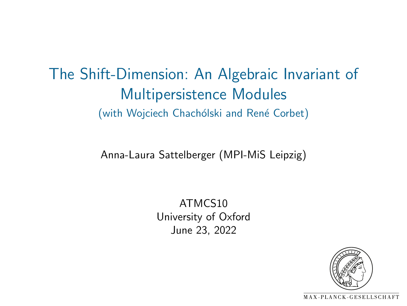The Shift-Dimension: An Algebraic Invariant of Multipersistence Modules (with Wojciech Chachólski and René Corbet)

Anna-Laura Sattelberger (MPI-MiS Leipzig)

ATMCS10 University of Oxford June 23, 2022

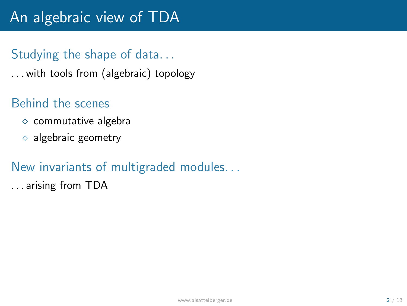# An algebraic view of TDA

### Studying the shape of data. . .

. . . with tools from (algebraic) topology

### Behind the scenes

- $\diamond$  commutative algebra
- $\Diamond$  algebraic geometry

#### New invariants of multigraded modules. . .

. . . arising from TDA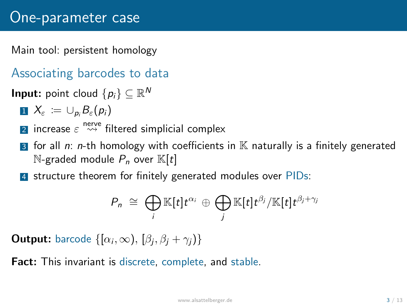Main tool: persistent homology

- Associating barcodes to data
- **Input:** point cloud  $\{p_i\} \subseteq \mathbb{R}^N$ 
	- $X_{\varepsilon} := \cup_{p_i} B_{\varepsilon}(p_i)$
	- $\overline{\textbf{2}}$  increase  $\varepsilon \overset{\text{neve}}{\leadsto}$  filtered simplicial complex
	- **3** for all *n*: *n*-th homology with coefficients in  $K$  naturally is a finitely generated  $\mathbb{N}$ -graded module  $P_n$  over  $\mathbb{K}[t]$
	- 4 structure theorem for finitely generated modules over PIDs:

$$
P_n \cong \bigoplus_i \mathbb{K}[t]t^{\alpha_i} \oplus \bigoplus_j \mathbb{K}[t]t^{\beta_j}/\mathbb{K}[t]t^{\beta_j+\gamma_j}
$$

**Output:** barcode  $\{[\alpha_i, \infty), [\beta_i, \beta_i + \gamma_i)\}$ 

**Fact:** This invariant is discrete, complete, and stable.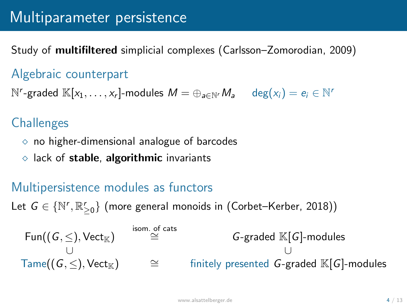# Multiparameter persistence

Study of multifiltered simplicial complexes (Carlsson–Zomorodian, 2009)

#### Algebraic counterpart

 $N^r$ -graded  $\mathbb{K}[x_1,\ldots,x_r]$ -modules  $M = \bigoplus_{a \in N^r} M_a$  deg $(x_i) = e_i \in N^r$ 

### **Challenges**

- $\diamond$  no higher-dimensional analogue of barcodes
- $\diamond$  lack of stable, algorithmic invariants

### Multipersistence modules as functors

Let  $G \in \{ \mathbb{N}', \mathbb{R}_{\geq 0}' \}$  (more general monoids in (Corbet–Kerber, 2018))

| \n $\text{Fun}((G, \leq), \text{Vect}_{\mathbb{K}})$ \n  | \n $\cong$ \n | \n $G$ -graded $\mathbb{K}[G]$ -modules\n                                 |
|----------------------------------------------------------|---------------|---------------------------------------------------------------------------|
| \n $\cup$ \n                                             | \n $\cup$ \n  |                                                                           |
| \n $\text{Time}((G, \leq), \text{Vect}_{\mathbb{K}})$ \n | \n $\cong$ \n | \n $\text{finitely presented } G\text{-graded } \mathbb{K}[G]$ -modules\n |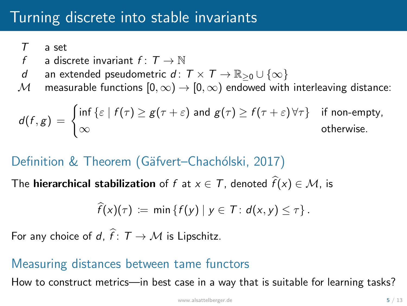# Turning discrete into stable invariants

*T* a set

- *f* a discrete invariant  $f: T \to \mathbb{N}$ <br>*d* an extended pseudometric *d*:
- *d* an extended pseudometric *d* :  $T \times T \to \mathbb{R}_{\geq 0} \cup \{\infty\}$ <br>*M* measurable functions  $[0, \infty) \to [0, \infty)$  endowed with
- *M* measurable functions  $[0, \infty) \rightarrow [0, \infty)$  endowed with interleaving distance:

$$
d(f,g) = \begin{cases} \inf \{\varepsilon \mid f(\tau) \geq g(\tau + \varepsilon) \text{ and } g(\tau) \geq f(\tau + \varepsilon) \,\forall \tau\} & \text{if non-empty,} \\ \infty & \text{otherwise.} \end{cases}
$$

### Definition & Theorem (Gäfvert–Chachólski, 2017)

The **hierarchical stabilization** of  $f$  at  $x \in T$ , denoted  $f(x) \in M$ , is

$$
\widehat{f}(x)(\tau) \coloneqq \min \{f(y) \mid y \in \mathcal{T} : d(x,y) \leq \tau \}.
$$

For any choice of  $d, f: T \to M$  is Lipschitz.

#### Measuring distances between tame functors

How to construct metrics—in best case in a way that is suitable for learning tasks?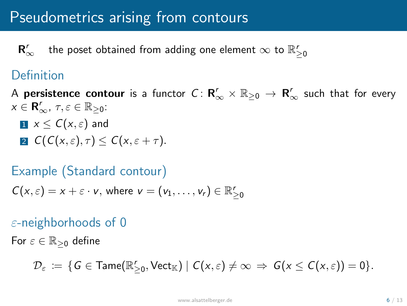# Pseudometrics arising from contours

 $R_{\infty}^r$  $\frac{r}{\infty}$  the poset obtained from adding one element  $\infty$  to  $\mathbb{R}_{\geq 0}^r$ 

### Definition

- A **persistence contour** is a functor  $C: \mathsf{R}'_{\infty} \times \mathbb{R}_{\geq 0} \to \mathsf{R}'_{\infty}$  such that for every  $x \in \mathbf{R}'_{\infty}$ ,  $\tau, \varepsilon \in \mathbb{R}_{\geq 0}$ :
	- $\mathbf{I} \times \mathcal{C}(x,\varepsilon)$  and  $\mathbf{Z} \mathbf{C}(\mathcal{C}(\mathbf{x}, \varepsilon), \tau) \leq \mathcal{C}(\mathbf{x}, \varepsilon + \tau).$

### Example (Standard contour)

$$
C(x,\varepsilon)=x+\varepsilon\cdot v,\text{ where }v=(v_1,\ldots,v_r)\in\mathbb{R}_{\geq0}^r
$$

### $\varepsilon$ -neighborhoods of 0

For  $\varepsilon \in \mathbb{R}_{\geq 0}$  define

$$
\mathcal{D}_{\varepsilon} \ := \ \{ \text{$G \in \text{Tame}(\mathbb{R}_{\geq 0}^r,\text{Vect}_{\mathbb{K}}) \mid C(x,\varepsilon) \neq \infty \ \Rightarrow \ G(x \leq C(x,\varepsilon)) = 0 \}.
$$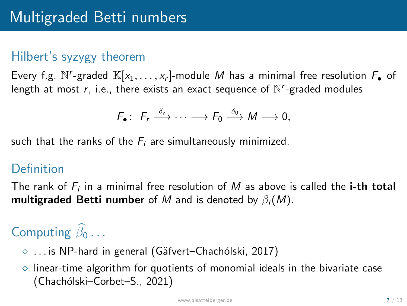### Hilbert's syzygy theorem

Every f.g. N'-graded  $\mathbb{K}[x_1,\ldots,x_r]$ -module *M* has a minimal free resolution  $F_{\bullet}$  of length at most  $r$ , i.e., there exists an exact sequence of  $N<sup>r</sup>$ -graded modules

$$
F_{\bullet}: F_{r} \xrightarrow{\delta_{r}} \cdots \longrightarrow F_{0} \xrightarrow{\delta_{0}} M \longrightarrow 0,
$$

such that the ranks of the *F<sup>i</sup>* are simultaneously minimized.

#### Definition

The rank of *F<sup>i</sup>* in a minimal free resolution of *M* as above is called the i-th total multigraded Betti number of M and is denoted by  $\beta_i(M)$ .

# Computing  $\beta_0 \ldots$

- $\diamond$  ... is NP-hard in general (Gäfvert–Chachólski, 2017)
- $\diamond$  linear-time algorithm for quotients of monomial ideals in the bivariate case (Chachólski–Corbet–S., 2021)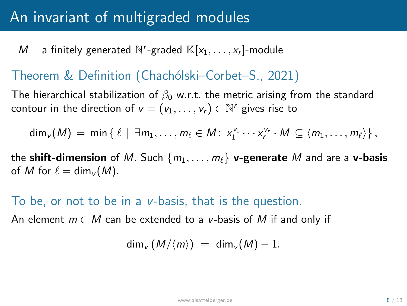# An invariant of multigraded modules

*M* a finitely generated  $\mathbb{N}^r$ -graded  $\mathbb{K}[x_1,\ldots,x_r]$ -module

#### Theorem & Definition (Chachólski–Corbet–S., 2021)

The hierarchical stabilization of  $\beta_0$  w.r.t. the metric arising from the standard contour in the direction of  $v = (v_1, \ldots, v_r) \in \mathbb{N}^r$  gives rise to

$$
\dim_v(M) = \min \{ \ell \mid \exists m_1, \ldots, m_\ell \in M \colon x_1^{v_1} \cdots x_r^{v_r} \cdot M \subseteq \langle m_1, \ldots, m_\ell \rangle \},
$$

the shift-dimension of *M*. Such  $\{m_1, \ldots, m_\ell\}$  v-generate *M* and are a v-basis of *M* for  $\ell = \dim_{\mathcal{V}} (M)$ .

#### To be, or not to be in a *v*-basis, that is the question.

An element  $m \in M$  can be extended to a *v*-basis of M if and only if

$$
\dim_v (M/\langle m\rangle) = \dim_v (M) - 1.
$$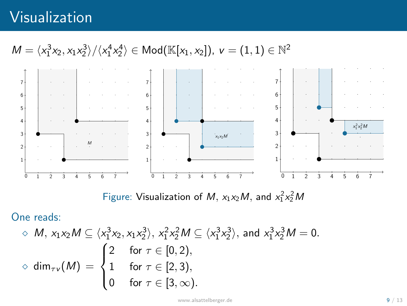# Visualization

# $M = \langle x_1^3x_2, x_1x_2^3 \rangle / \langle x_1^4x_2^4 \rangle \in Mod(\mathbb{K}[x_1, x_2])$ ,  $v = (1, 1) \in \mathbb{N}^2$



Figure: Visualization of *M*,  $x_1x_2M$ , and  $x_1^2x_2^2M$ 

One reads:

$$
\diamond M, x_1x_2M \subseteq \langle x_1^3x_2, x_1x_2^3 \rangle, x_1^2x_2^2M \subseteq \langle x_1^3x_2^3 \rangle, \text{ and } x_1^3x_2^3M = 0.
$$
  

$$
\diamond \dim_{\tau \nu}(M) = \begin{cases} 2 & \text{for } \tau \in [0,2), \\ 1 & \text{for } \tau \in [2,3), \\ 0 & \text{for } \tau \in [3,\infty). \end{cases}
$$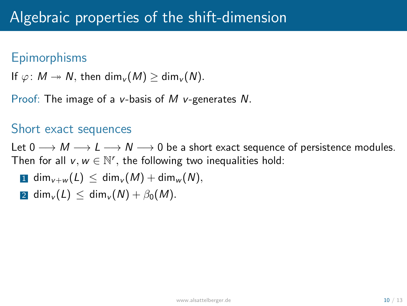### **Epimorphisms**

If  $\varphi: M \to N$ , then dim<sub>*v*</sub> (*M*) > dim<sub>*v*</sub> (*N*)*.* 

Proof: The image of a *v*-basis of *M v*-generates *N.*

#### Short exact sequences

Let  $0 \longrightarrow M \longrightarrow L \longrightarrow N \longrightarrow 0$  be a short exact sequence of persistence modules. Then for all  $v, w \in \mathbb{N}^r$ , the following two inequalities hold:

$$
\mathbf{1} \ \dim_{v+w}(L) \ \leq \ \dim_v(M) + \dim_w(N),
$$

 $2 \dim_{\nu}(L) \leq \dim_{\nu}(N) + \beta_0(M)$ .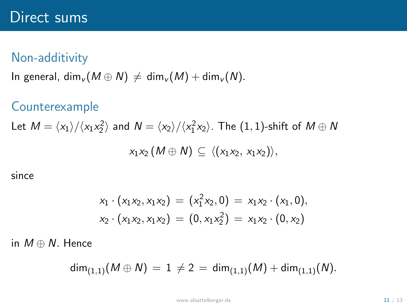### Non-additivity

In general,  $\dim_{\nu}(M \oplus N) \neq \dim_{\nu}(M) + \dim_{\nu}(N)$ .

#### Counterexample

Let 
$$
M = \langle x_1 \rangle / \langle x_1 x_2^2 \rangle
$$
 and  $N = \langle x_2 \rangle / \langle x_1^2 x_2 \rangle$ . The (1, 1)-shift of  $M \oplus N$   
 $x_1 x_2 (M \oplus N) \subseteq \langle (x_1 x_2, x_1 x_2) \rangle$ ,

since

$$
x_1 \cdot (x_1 x_2, x_1 x_2) = (x_1^2 x_2, 0) = x_1 x_2 \cdot (x_1, 0),
$$
  

$$
x_2 \cdot (x_1 x_2, x_1 x_2) = (0, x_1 x_2^2) = x_1 x_2 \cdot (0, x_2)
$$

in  $M \oplus N$ . Hence

$$
\dim_{(1,1)}(M \oplus N) = 1 \neq 2 = \dim_{(1,1)}(M) + \dim_{(1,1)}(N).
$$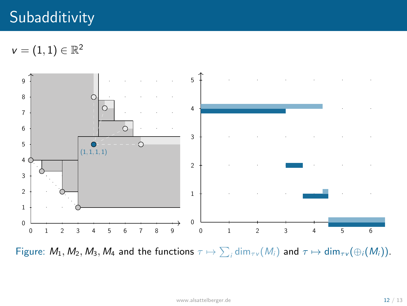# **Subadditivity**

 $v = (1,1) \in \mathbb{R}^2$ 



Figure:  $M_1, M_2, M_3, M_4$  and the functions  $\tau \mapsto \sum_i \dim_{\tau v}(M_i)$  and  $\tau \mapsto \dim_{\tau v}(\oplus_i (M_i)).$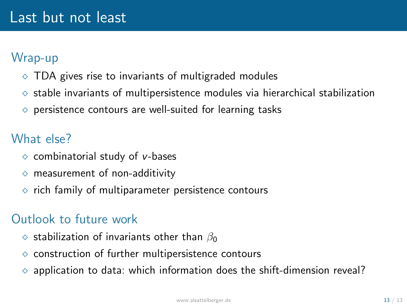### Wrap-up

- $\Diamond$  TDA gives rise to invariants of multigraded modules
- $\Diamond$  stable invariants of multipersistence modules via hierarchical stabilization
- $\diamond$  persistence contours are well-suited for learning tasks

### What else?

- ⇧ combinatorial study of *v*-bases
- $\diamond$  measurement of non-additivity
- $\diamond$  rich family of multiparameter persistence contours

### Outlook to future work

- $\diamond$  stabilization of invariants other than  $\beta_0$
- $\diamond$  construction of further multipersistence contours
- application to data: which information does the shift-dimension reveal?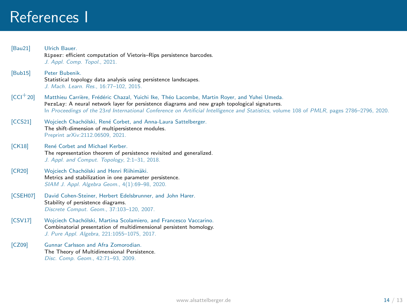# References I

| Bau21        | Ulrich Bauer.<br>Ripser: efficient computation of Vietoris-Rips persistence barcodes.<br>J. Appl. Comp. Topol., 2021.                                                                                                                                                                                                                       |
|--------------|---------------------------------------------------------------------------------------------------------------------------------------------------------------------------------------------------------------------------------------------------------------------------------------------------------------------------------------------|
| [Bub15]      | Peter Bubenik.<br>Statistical topology data analysis using persistence landscapes.<br>J. Mach. Learn. Res., 16:77-102, 2015.                                                                                                                                                                                                                |
| $[CCI + 20]$ | Matthieu Carrière, Frédéric Chazal, Yuichi Ike, Théo Lacombe, Martin Royer, and Yuhei Umeda.<br>PersLay: A neural network layer for persistence diagrams and new graph topological signatures.<br>In Proceedings of the 23rd International Conference on Artificial Intelligence and Statistics, volume 108 of PMLR, pages 2786-2796, 2020. |
| [CCS21]      | Wojciech Chachólski, René Corbet, and Anna-Laura Sattelberger.<br>The shift-dimension of multipersistence modules.<br>Preprint arXiv:2112.06509, 2021.                                                                                                                                                                                      |
| [CK18]       | René Corbet and Michael Kerber.<br>The representation theorem of persistence revisited and generalized.<br>J. Appl. and Comput. Topology, 2:1-31, 2018.                                                                                                                                                                                     |
| [CR20]       | Wojciech Chachólski and Henri Riihimäki.<br>Metrics and stabilization in one parameter persistence.<br>SIAM J. Appl. Algebra Geom., 4(1):69-98, 2020.                                                                                                                                                                                       |
| [CSEH07]     | David Cohen-Steiner, Herbert Edelsbrunner, and John Harer.<br>Stability of persistence diagrams.<br>Discrete Comput. Geom., 37:103-120, 2007.                                                                                                                                                                                               |
| [CSV17]      | Wojciech Chachólski, Martina Scolamiero, and Francesco Vaccarino.<br>Combinatorial presentation of multidimensional persistent homology.<br>J. Pure Appl. Algebra, 221:1055-1075, 2017.                                                                                                                                                     |
| [CZ09]       | Gunnar Carlsson and Afra Zomorodian.<br>The Theory of Multidimensional Persistence.<br>Disc. Comp. Geom., 42:71-93, 2009.                                                                                                                                                                                                                   |
|              |                                                                                                                                                                                                                                                                                                                                             |